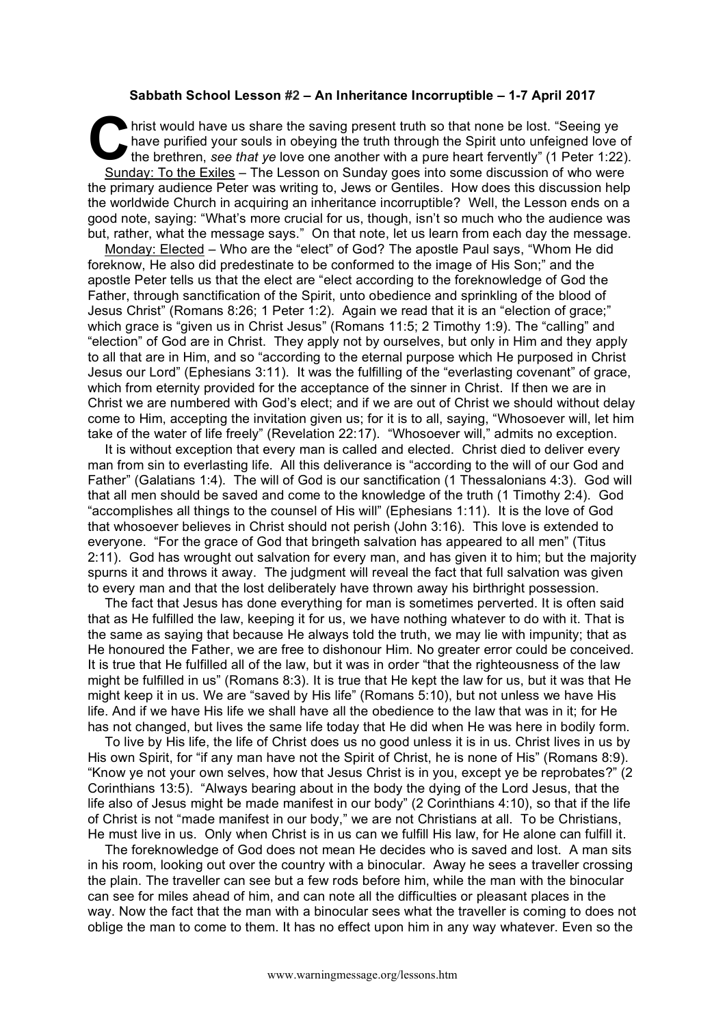## **Sabbath School Lesson #2 – An Inheritance Incorruptible – 1-7 April 2017**

hrist would have us share the saving present truth so that none be lost. "Seeing ye have purified your souls in obeying the truth through the Spirit unto unfeigned love the brethren, see that ye love one another with a pur have purified your souls in obeying the truth through the Spirit unto unfeigned love of the brethren, *see that ye* love one another with a pure heart fervently" (1 Peter 1:22). Sunday: To the Exiles – The Lesson on Sunday goes into some discussion of who were the primary audience Peter was writing to, Jews or Gentiles. How does this discussion help the worldwide Church in acquiring an inheritance incorruptible? Well, the Lesson ends on a good note, saying: "What's more crucial for us, though, isn't so much who the audience was but, rather, what the message says." On that note, let us learn from each day the message.

Monday: Elected – Who are the "elect" of God? The apostle Paul says, "Whom He did foreknow, He also did predestinate to be conformed to the image of His Son;" and the apostle Peter tells us that the elect are "elect according to the foreknowledge of God the Father, through sanctification of the Spirit, unto obedience and sprinkling of the blood of Jesus Christ" (Romans 8:26; 1 Peter 1:2). Again we read that it is an "election of grace;" which grace is "given us in Christ Jesus" (Romans 11:5; 2 Timothy 1:9). The "calling" and "election" of God are in Christ. They apply not by ourselves, but only in Him and they apply to all that are in Him, and so "according to the eternal purpose which He purposed in Christ Jesus our Lord" (Ephesians 3:11). It was the fulfilling of the "everlasting covenant" of grace, which from eternity provided for the acceptance of the sinner in Christ. If then we are in Christ we are numbered with God's elect; and if we are out of Christ we should without delay come to Him, accepting the invitation given us; for it is to all, saying, "Whosoever will, let him take of the water of life freely" (Revelation 22:17). "Whosoever will," admits no exception.

It is without exception that every man is called and elected. Christ died to deliver every man from sin to everlasting life. All this deliverance is "according to the will of our God and Father" (Galatians 1:4). The will of God is our sanctification (1 Thessalonians 4:3). God will that all men should be saved and come to the knowledge of the truth (1 Timothy 2:4). God "accomplishes all things to the counsel of His will" (Ephesians 1:11). It is the love of God that whosoever believes in Christ should not perish (John 3:16). This love is extended to everyone. "For the grace of God that bringeth salvation has appeared to all men" (Titus 2:11). God has wrought out salvation for every man, and has given it to him; but the majority spurns it and throws it away. The judgment will reveal the fact that full salvation was given to every man and that the lost deliberately have thrown away his birthright possession.

The fact that Jesus has done everything for man is sometimes perverted. It is often said that as He fulfilled the law, keeping it for us, we have nothing whatever to do with it. That is the same as saying that because He always told the truth, we may lie with impunity; that as He honoured the Father, we are free to dishonour Him. No greater error could be conceived. It is true that He fulfilled all of the law, but it was in order "that the righteousness of the law might be fulfilled in us" (Romans 8:3). It is true that He kept the law for us, but it was that He might keep it in us. We are "saved by His life" (Romans 5:10), but not unless we have His life. And if we have His life we shall have all the obedience to the law that was in it; for He has not changed, but lives the same life today that He did when He was here in bodily form.

To live by His life, the life of Christ does us no good unless it is in us. Christ lives in us by His own Spirit, for "if any man have not the Spirit of Christ, he is none of His" (Romans 8:9). "Know ye not your own selves, how that Jesus Christ is in you, except ye be reprobates?" (2 Corinthians 13:5). "Always bearing about in the body the dying of the Lord Jesus, that the life also of Jesus might be made manifest in our body" (2 Corinthians 4:10), so that if the life of Christ is not "made manifest in our body," we are not Christians at all. To be Christians, He must live in us. Only when Christ is in us can we fulfill His law, for He alone can fulfill it.

The foreknowledge of God does not mean He decides who is saved and lost. A man sits in his room, looking out over the country with a binocular. Away he sees a traveller crossing the plain. The traveller can see but a few rods before him, while the man with the binocular can see for miles ahead of him, and can note all the difficulties or pleasant places in the way. Now the fact that the man with a binocular sees what the traveller is coming to does not oblige the man to come to them. It has no effect upon him in any way whatever. Even so the